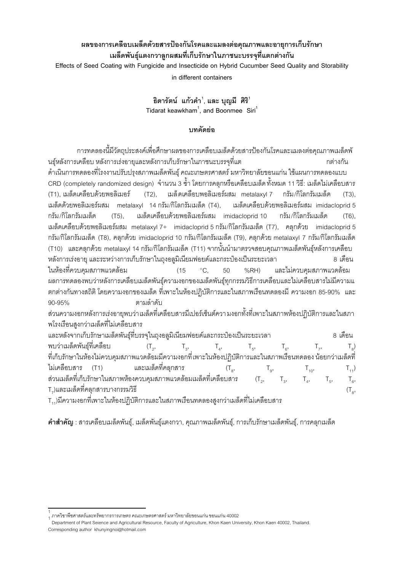## **ผลของการเคลือบเมล็ดดวยสารปองกันโรคและแมลงตอคุณภาพและอายุการเก็บรักษา เมล็ดพันธุแตงกวาลูกผสมที่เก็บรักษาในภาชนะบรรจุที่แตกตางกัน**

**Effects of Seed Coating with Fungicide and Insecticide on Hybrid Cucumber Seed Quality and Storability** 

**in different containers**

**ธิดารัตน แกวคํา[1](#page-0-0) Tidarat keawkham1 , and Boonmee Siri1 , และ บุญมี ศิริ<sup>1</sup>**

## **บทคัดยอ**

การทดลองนี้มีวัตถุประสงคเพื่อศึกษาผลของการเคลือบเมล็ดดวยสารปองกันโรคและแมลงตอคุณภาพเมล็ดพั นธ์หลังการเคลือบ หลังการเร่งอายุและหลังการเก็บรักษาในภาชนะบรรจุที่แต การ การ กต่างกัน ดำเนินการทดลองที่โรงงานปรับปรุงสภาพเมล็ดพันธุ์ คณะเกษตรศาสตร์ มหาวิทยาลัยขอนแก่น ใช้แผนการทดลองแบบ CRD (completely randomized design) จำนวน 3 ซ้ำ โดยการคลุกหรือเคลือบเมล็ด ทั้งหมด 11 วิธี: เมล็ดไม่เคลือบสาร<br>(T1). เมล็ดเคลือบด้วยพอลิเมอร์ (T2). เมล็ดเคลือบพอลิเมอร์ผสม metalaxyl 7 กรัม/กิโลกรัมเมล็ด ี เมล็ดเคลือบพอลิเมอร์ผสม metalaxyl 7 กรัม/กิโลกรัมเมล็ด (T3),<br>ม/กิโลกรัมเมล็ด (T4), เมล็ดเคลือบด้วยพอลิเมอร์ผสม imidacloprid 5 เมล็ดด้วยพอลิเมอร์ผสม metalaxyl 14 กรัม/กิโลกรัมเมล็ด (T4), กรัม/กิโลกรัมเมล็ด (T5), เมล็ดเคลือบดวยพอลิเมอรผสม imidacloprid 10 กรัม/กิโลกรัมเมล็ด (T6), เมล็ดเคลือบดวยพอลิเมอรผสม metalaxyl 7+ imidacloprid 5 กรัม/กิโลกรัมเมล็ด (T7), คลุกดวย imidacloprid 5 กรัม/กิโลกรัมเมล็ด (T8), คลุกดวย imidacloprid 10 กรัม/กิโลกรัมเมล็ด (T9), คลุกดวย metalaxyl 7 กรัม/กิโลกรัมเมล็ด (T10) และคลุกดวย metalaxyl 14 กรัม/กิโลกรัมเมล็ด (T11) จากนั้นนํามาตรวจสอบคุณภาพเมล็ดพันธุหลังการเคลือบ หลังการเร่งอายุ และระหว่างการเก็บรักษาในถุงอลูมิเนียมฟอยด์และกระป๋องเป็นระยะเวลา 8 เดือน ในหองที่ควบคุมสภาพแวดลอม (15 °C, 50 %RH) และไมควบคุมสภาพแวดลอม ผลการทดลองพบวาหลังการเคลือบเมล็ดพันธุความงอกของเมล็ดพันธุทุกกรรมวิธีการเคลือบและไมเคลือบสารไมมีความแ ตกต่างกันทางสถิติ โดยความงอกของเมล็ด ที่เพาะในห้องปฏิบัติการและในสภาพเรือนทดลองมี ความงอก 85-90% และ 90-95% ตามลําดับ ้ ส่วนความงอกหลังการเร่งอายุพบว่าเมล็ดที่เคลือบสารมีเปอร์เซ็นต์ควา มงอกทั้งที่เพาะในสภาพห้องปฏิบัติการและในสภา พโรงเรือนสูงกวาเมล็ดที่ไมเคลือบสาร และหลังจากเก็บรักษาเมล็ดพันธุ์ที่บรรจุในถุงอลูมิเนียมฟอยด์และกระป๋องเป็นระยะเวลา 8 เดือน พบว่าเมล็ดพันธุ์ที่เคลือบ  $(T_2, \t T_3, \t T_4, \t T_5, \t T_6, \t T_7, \t T_8)$ ที่เก็บรักษาในหองไมควบคุมสภาพแวดลอมมีความงอกที่เพาะในหองปฏิบัติการและในสภาพเรือนทดลอง นอยกวาเมล็ดที่ และเมล็ดที่คลุกสาร  $(T_{\circ}, \qquad T_{\circ}, \qquad T_{10}, \qquad T_{11})$ ส่วนเมล็ดที่เก็บรักษาในสภาพห้องควบคุมสภาพแวดล้อมเมล็ดที่เคลือบสาร (T<sub>2</sub>, T<sub>3</sub>, T<sub>4</sub>, T<sub>5</sub>, T<sub>6</sub>,  $\mathsf{T}_7$ )และเมล็ดที่คลุกสารบางกรรมวิธี  $(\mathsf{T}_3, \mathsf{T}_4)$ T..)มีความงอกที่เพาะในห้องปฏิบัติการและในสภาพเรือนทดลองสูงกว่าเมล็ดที่ไม่เคลือบสาร

**คําสําคัญ** : สารเคลือบเมล็ดพันธุ, เมล็ดพันธุแตงกวา, คุณภาพเมล็ดพันธุ, การเก็บรักษาเมล็ดพันธุ, การคลุกเมล็ด

<sup>-&</sup>lt;br>1 ภาควิชาพืชศาสตร์และทรัพยากรการเกษตร คณะเกษตรศาสตร์ มหาวิทยาลัยขอนแก่น ขอนแก่น 40002

<span id="page-0-0"></span>Department of Plant Seience and Agricultural Resource, Faculty of Agriculture, Khon Kaen University, Khon Kaen 40002, Thailand. Corresponding author khunyingnoi@hotmail.com